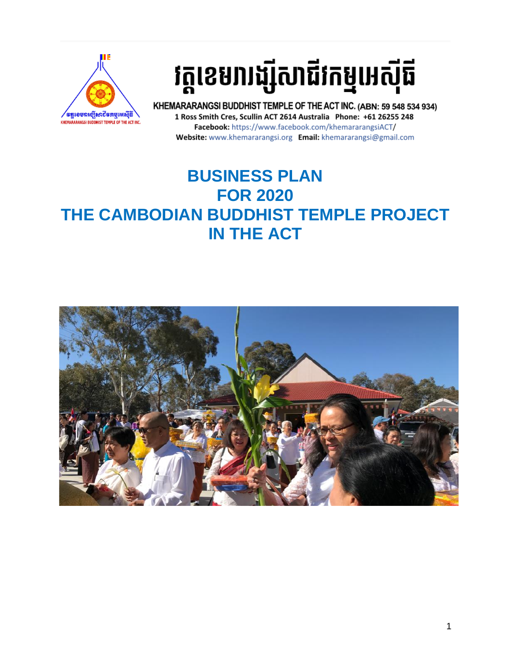

# វត្តខេមរារង្ស៊ីសាជីវកម្មអេស៊ីធី

KHEMARARANGSI BUDDHIST TEMPLE OF THE ACT INC. (ABN: 59 548 534 934) 1 Ross Smith Cres, Scullin ACT 2614 Australia Phone: +61 26255 248 Facebook: https://www.facebook.com/khemararangsiACT/ Website: www.khemararangsi.org Email: khemararangsi@gmail.com

## **BUSINESS PLAN FOR 2020 THE CAMBODIAN BUDDHIST TEMPLE PROJECT IN THE ACT**

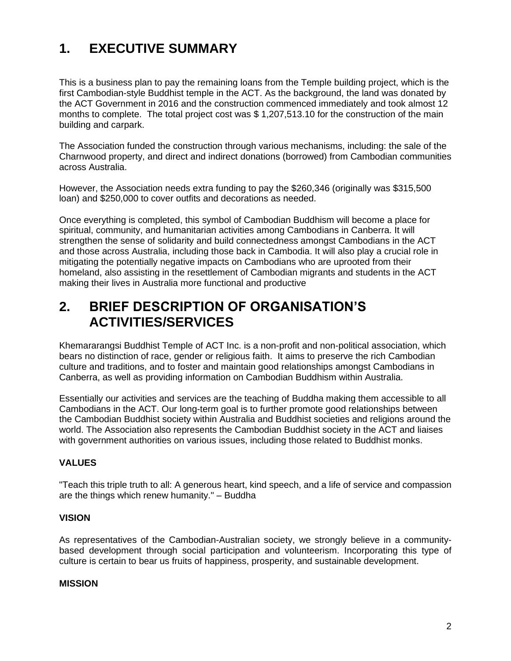## **1. EXECUTIVE SUMMARY**

This is a business plan to pay the remaining loans from the Temple building project, which is the first Cambodian-style Buddhist temple in the ACT. As the background, the land was donated by the ACT Government in 2016 and the construction commenced immediately and took almost 12 months to complete. The total project cost was \$ 1,207,513.10 for the construction of the main building and carpark.

The Association funded the construction through various mechanisms, including: the sale of the Charnwood property, and direct and indirect donations (borrowed) from Cambodian communities across Australia.

However, the Association needs extra funding to pay the \$260,346 (originally was \$315,500 loan) and \$250,000 to cover outfits and decorations as needed.

Once everything is completed, this symbol of Cambodian Buddhism will become a place for spiritual, community, and humanitarian activities among Cambodians in Canberra. It will strengthen the sense of solidarity and build connectedness amongst Cambodians in the ACT and those across Australia, including those back in Cambodia. It will also play a crucial role in mitigating the potentially negative impacts on Cambodians who are uprooted from their homeland, also assisting in the resettlement of Cambodian migrants and students in the ACT making their lives in Australia more functional and productive

### **2. BRIEF DESCRIPTION OF ORGANISATION'S ACTIVITIES/SERVICES**

Khemararangsi Buddhist Temple of ACT Inc. is a non-profit and non-political association, which bears no distinction of race, gender or religious faith. It aims to preserve the rich Cambodian culture and traditions, and to foster and maintain good relationships amongst Cambodians in Canberra, as well as providing information on Cambodian Buddhism within Australia.

Essentially our activities and services are the teaching of Buddha making them accessible to all Cambodians in the ACT. Our long-term goal is to further promote good relationships between the Cambodian Buddhist society within Australia and Buddhist societies and religions around the world. The Association also represents the Cambodian Buddhist society in the ACT and liaises with government authorities on various issues, including those related to Buddhist monks.

#### **VALUES**

"Teach this triple truth to all: A generous heart, kind speech, and a life of service and compassion are the things which renew humanity." – Buddha

#### **VISION**

As representatives of the Cambodian-Australian society, we strongly believe in a communitybased development through social participation and volunteerism. Incorporating this type of culture is certain to bear us fruits of happiness, prosperity, and sustainable development.

#### **MISSION**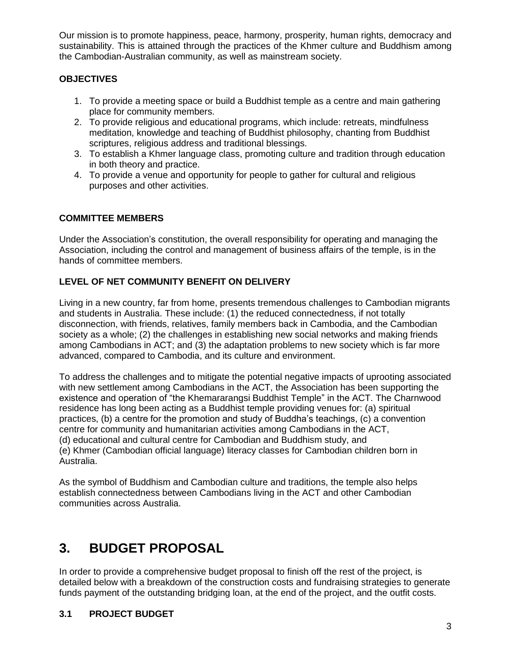Our mission is to promote happiness, peace, harmony, prosperity, human rights, democracy and sustainability. This is attained through the practices of the Khmer culture and Buddhism among the Cambodian-Australian community, as well as mainstream society.

#### **OBJECTIVES**

- 1. To provide a meeting space or build a Buddhist temple as a centre and main gathering place for community members.
- 2. To provide religious and educational programs, which include: retreats, mindfulness meditation, knowledge and teaching of Buddhist philosophy, chanting from Buddhist scriptures, religious address and traditional blessings.
- 3. To establish a Khmer language class, promoting culture and tradition through education in both theory and practice.
- 4. To provide a venue and opportunity for people to gather for cultural and religious purposes and other activities.

#### **COMMITTEE MEMBERS**

Under the Association's constitution, the overall responsibility for operating and managing the Association, including the control and management of business affairs of the temple, is in the hands of committee members.

#### **LEVEL OF NET COMMUNITY BENEFIT ON DELIVERY**

Living in a new country, far from home, presents tremendous challenges to Cambodian migrants and students in Australia. These include: (1) the reduced connectedness, if not totally disconnection, with friends, relatives, family members back in Cambodia, and the Cambodian society as a whole; (2) the challenges in establishing new social networks and making friends among Cambodians in ACT; and (3) the adaptation problems to new society which is far more advanced, compared to Cambodia, and its culture and environment.

To address the challenges and to mitigate the potential negative impacts of uprooting associated with new settlement among Cambodians in the ACT, the Association has been supporting the existence and operation of "the Khemararangsi Buddhist Temple" in the ACT. The Charnwood residence has long been acting as a Buddhist temple providing venues for: (a) spiritual practices, (b) a centre for the promotion and study of Buddha's teachings, (c) a convention centre for community and humanitarian activities among Cambodians in the ACT, (d) educational and cultural centre for Cambodian and Buddhism study, and (e) Khmer (Cambodian official language) literacy classes for Cambodian children born in Australia.

As the symbol of Buddhism and Cambodian culture and traditions, the temple also helps establish connectedness between Cambodians living in the ACT and other Cambodian communities across Australia.

## **3. BUDGET PROPOSAL**

In order to provide a comprehensive budget proposal to finish off the rest of the project, is detailed below with a breakdown of the construction costs and fundraising strategies to generate funds payment of the outstanding bridging loan, at the end of the project, and the outfit costs.

#### **3.1 PROJECT BUDGET**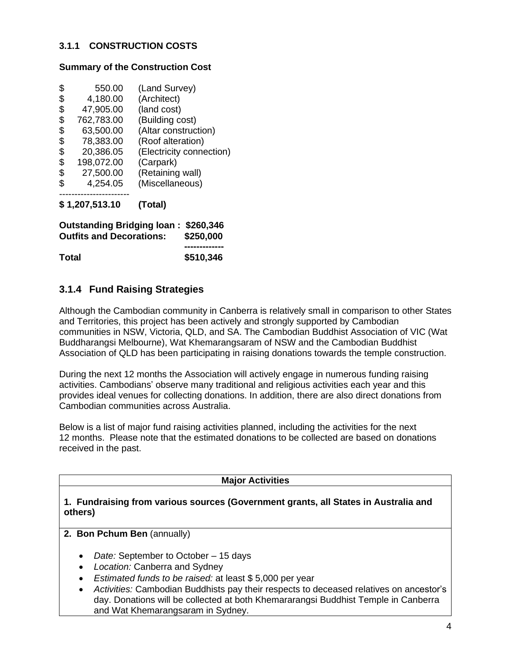#### **3.1.1 CONSTRUCTION COSTS**

#### **Summary of the Construction Cost**

| \$<br>550.00     | (Land Survey)            |
|------------------|--------------------------|
| \$<br>4,180.00   | (Architect)              |
| \$<br>47,905.00  | (land cost)              |
| \$<br>762,783.00 | (Building cost)          |
| \$<br>63,500.00  | (Altar construction)     |
| \$<br>78,383.00  | (Roof alteration)        |
| \$<br>20,386.05  | (Electricity connection) |
| \$<br>198,072.00 | (Carpark)                |
| \$<br>27,500.00  | (Retaining wall)         |
| \$<br>4,254.05   | (Miscellaneous)          |
|                  |                          |

**\$ 1,207,513.10 (Total)**

| Outstanding Bridging loan: \$260,346<br><b>Outfits and Decorations:</b> | \$250,000 |
|-------------------------------------------------------------------------|-----------|
|                                                                         |           |
| <b>Total</b>                                                            | \$510,346 |

#### **3.1.4 Fund Raising Strategies**

Although the Cambodian community in Canberra is relatively small in comparison to other States and Territories, this project has been actively and strongly supported by Cambodian communities in NSW, Victoria, QLD, and SA. The Cambodian Buddhist Association of VIC (Wat Buddharangsi Melbourne), Wat Khemarangsaram of NSW and the Cambodian Buddhist Association of QLD has been participating in raising donations towards the temple construction.

During the next 12 months the Association will actively engage in numerous funding raising activities. Cambodians' observe many traditional and religious activities each year and this provides ideal venues for collecting donations. In addition, there are also direct donations from Cambodian communities across Australia.

Below is a list of major fund raising activities planned, including the activities for the next 12 months. Please note that the estimated donations to be collected are based on donations received in the past.

#### **Major Activities**

#### **1. Fundraising from various sources (Government grants, all States in Australia and others)**

- **2. Bon Pchum Ben** (annually)
	- *Date:* September to October 15 days
	- *Location:* Canberra and Sydney
	- *Estimated funds to be raised:* at least \$ 5,000 per year
	- *Activities:* Cambodian Buddhists pay their respects to deceased relatives on ancestor's day. Donations will be collected at both Khemararangsi Buddhist Temple in Canberra and Wat Khemarangsaram in Sydney.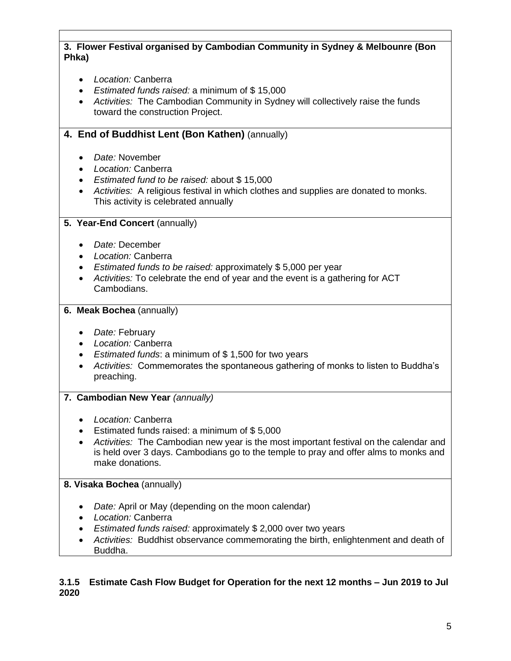#### **3. Flower Festival organised by Cambodian Community in Sydney & Melbounre (Bon Phka)**

- *Location:* Canberra
- *Estimated funds raised:* a minimum of \$ 15,000
- *Activities:* The Cambodian Community in Sydney will collectively raise the funds toward the construction Project.

#### **4. End of Buddhist Lent (Bon Kathen)** (annually)

- *Date:* November
- *Location:* Canberra
- *Estimated fund to be raised:* about \$ 15,000
- *Activities:* A religious festival in which clothes and supplies are donated to monks. This activity is celebrated annually

#### **5. Year-End Concert** (annually)

- *Date:* December
- *Location:* Canberra
- *Estimated funds to be raised:* approximately \$ 5,000 per year
- *Activities:* To celebrate the end of year and the event is a gathering for ACT Cambodians.

#### **6. Meak Bochea** (annually)

- *Date:* February
- *Location:* Canberra
- *Estimated funds*: a minimum of \$ 1,500 for two years
- *Activities:* Commemorates the spontaneous gathering of monks to listen to Buddha's preaching.

#### **7. Cambodian New Year** *(annually)*

- *Location:* Canberra
- Estimated funds raised: a minimum of \$ 5,000
- *Activities:* The Cambodian new year is the most important festival on the calendar and is held over 3 days. Cambodians go to the temple to pray and offer alms to monks and make donations.

#### **8. Visaka Bochea** (annually)

- *Date:* April or May (depending on the moon calendar)
- *Location:* Canberra
- *Estimated funds raised:* approximately \$ 2,000 over two years
- *Activities:* Buddhist observance commemorating the birth, enlightenment and death of Buddha.

#### **3.1.5 Estimate Cash Flow Budget for Operation for the next 12 months – Jun 2019 to Jul 2020**